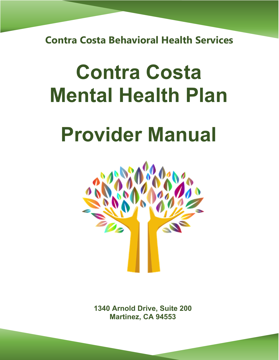**Contra Costa Behavioral Health Services** 

# **Contra Costa Mental Health Plan**

# **Provider Manual**



**1340 Arnold Drive, Suite 200 Martinez, CA 94553**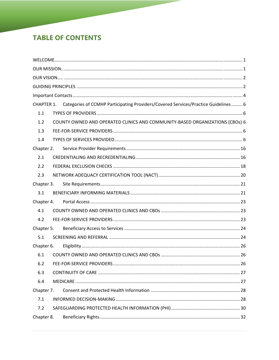# **TABLE OF CONTENTS**

| CHAPTER 1. Categories of CCMHP Participating Providers/Covered Services/Practice Guidelines 6 |  |  |  |
|-----------------------------------------------------------------------------------------------|--|--|--|
| 1.1                                                                                           |  |  |  |
| COUNTY OWNED AND OPERATED CLINICS AND COMMUNITY-BASED ORGANIZATIONS (CBOs) 6<br>1.2           |  |  |  |
| 1.3                                                                                           |  |  |  |
| 1.4                                                                                           |  |  |  |
| Chapter 2.                                                                                    |  |  |  |
| 2.1                                                                                           |  |  |  |
| 2.2                                                                                           |  |  |  |
| 2.3                                                                                           |  |  |  |
| Chapter 3.                                                                                    |  |  |  |
| 3.1                                                                                           |  |  |  |
|                                                                                               |  |  |  |
| 4.1                                                                                           |  |  |  |
| 4.2                                                                                           |  |  |  |
| Chapter 5.                                                                                    |  |  |  |
| 5.1                                                                                           |  |  |  |
| Chapter 6.                                                                                    |  |  |  |
| 6.1                                                                                           |  |  |  |
| 6.2                                                                                           |  |  |  |
| 6.3                                                                                           |  |  |  |
| 6.4                                                                                           |  |  |  |
| Chapter 7.                                                                                    |  |  |  |
| 7.1                                                                                           |  |  |  |
| 7.2                                                                                           |  |  |  |
| Chapter 8.                                                                                    |  |  |  |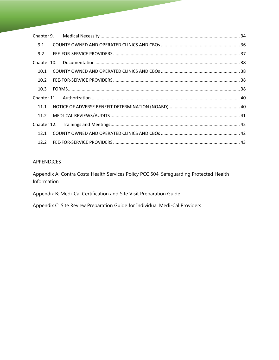| 9.1  |  |  |
|------|--|--|
| 9.2  |  |  |
|      |  |  |
| 10.1 |  |  |
| 10.2 |  |  |
| 10.3 |  |  |
|      |  |  |
| 11.1 |  |  |
|      |  |  |
|      |  |  |
| 12.1 |  |  |
|      |  |  |

# APPENDICES

Appendix A: Contra Costa Health Services Policy PCC 504, Safeguarding Protected Health Information

Appendix B: Medi-Cal Certification and Site Visit Preparation Guide

Appendix C: Site Review Preparation Guide for Individual Medi-Cal Providers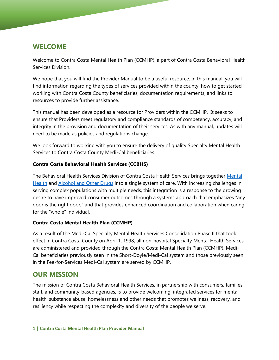# **WELCOME**

Welcome to Contra Costa Mental Health Plan (CCMHP), a part of Contra Costa Behavioral Health Services Division.

We hope that you will find the Provider Manual to be a useful resource. In this manual, you will find information regarding the types of services provided within the county, how to get started working with Contra Costa County beneficiaries, documentation requirements, and links to resources to provide further assistance.

This manual has been developed as a resource for Providers within the CCMHP. It seeks to ensure that Providers meet regulatory and compliance standards of competency, accuracy, and integrity in the provision and documentation of their services. As with any manual, updates will need to be made as policies and regulations change.

We look forward to working with you to ensure the delivery of quality Specialty Mental Health Services to Contra Costa County Medi-Cal beneficiaries.

## **Contra Costa Behavioral Health Services (CCBHS)**

The Behavioral Health Services Division of Contra Costa Health Services brings together Mental Health and Alcohol and Other Drugs into a single system of care. With increasing challenges in serving complex populations with multiple needs, this integration is a response to the growing desire to have improved consumer outcomes through a systems approach that emphasizes "any door is the right door," and that provides enhanced coordination and collaboration when caring for the "whole" individual.

## **Contra Costa Mental Health Plan (CCMHP)**

As a result of the Medi-Cal Specialty Mental Health Services Consolidation Phase II that took effect in Contra Costa County on April 1, 1998, all non-hospital Specialty Mental Health Services are administered and provided through the Contra Costa Mental Health Plan (CCMHP). Medi-Cal beneficiaries previously seen in the Short-Doyle/Medi-Cal system and those previously seen in the Fee-for-Services Medi-Cal system are served by CCMHP.

# **OUR MISSION**

The mission of Contra Costa Behavioral Health Services, in partnership with consumers, families, staff, and community-based agencies, is to provide welcoming, integrated services for mental health, substance abuse, homelessness and other needs that promotes wellness, recovery, and resiliency while respecting the complexity and diversity of the people we serve.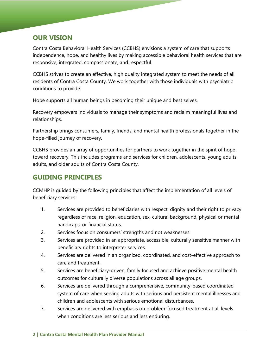# **OUR VISION**

Contra Costa Behavioral Health Services (CCBHS) envisions a system of care that supports independence, hope, and healthy lives by making accessible behavioral health services that are responsive, integrated, compassionate, and respectful.

CCBHS strives to create an effective, high quality integrated system to meet the needs of all residents of Contra Costa County. We work together with those individuals with psychiatric conditions to provide:

Hope supports all human beings in becoming their unique and best selves.

Recovery empowers individuals to manage their symptoms and reclaim meaningful lives and relationships.

Partnership brings consumers, family, friends, and mental health professionals together in the hope-filled journey of recovery.

CCBHS provides an array of opportunities for partners to work together in the spirit of hope toward recovery. This includes programs and services for children, adolescents, young adults, adults, and older adults of Contra Costa County.

# **GUIDING PRINCIPLES**

CCMHP is guided by the following principles that affect the implementation of all levels of beneficiary services:

- 1. Services are provided to beneficiaries with respect, dignity and their right to privacy regardless of race, religion, education, sex, cultural background, physical or mental handicaps, or financial status.
- 2. Services focus on consumers' strengths and not weaknesses.
- 3. Services are provided in an appropriate, accessible, culturally sensitive manner with beneficiary rights to interpreter services.
- 4. Services are delivered in an organized, coordinated, and cost-effective approach to care and treatment.
- 5. Services are beneficiary-driven, family focused and achieve positive mental health outcomes for culturally diverse populations across all age groups.
- 6. Services are delivered through a comprehensive, community-based coordinated system of care when serving adults with serious and persistent mental illnesses and children and adolescents with serious emotional disturbances.
- 7. Services are delivered with emphasis on problem-focused treatment at all levels when conditions are less serious and less enduring.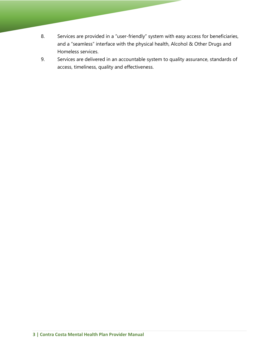- 8. Services are provided in a "user-friendly" system with easy access for beneficiaries, and a "seamless" interface with the physical health, Alcohol & Other Drugs and Homeless services.
- 9. Services are delivered in an accountable system to quality assurance, standards of access, timeliness, quality and effectiveness.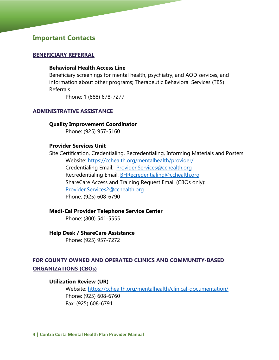# **Important Contacts**

#### **BENEFICIARY REFERRAL**

#### **Behavioral Health Access Line**

Beneficiary screenings for mental health, psychiatry, and AOD services, and information about other programs; Therapeutic Behavioral Services (TBS) Referrals

Phone: 1 (888) 678-7277

#### **ADMINISTRATIVE ASSISTANCE**

#### **Quality Improvement Coordinator**

Phone: (925) 957-5160

#### **Provider Services Unit**

Site Certification, Credentialing, Recredentialing, Informing Materials and Posters Website: https://cchealth.org/mentalhealth/provider/ Credentialing Email: Provider.Services@cchealth.org Recredentialing Email: BHRecredentialing@cchealth.org ShareCare Access and Training Request Email (CBOs only): Provider.Services2@cchealth.org Phone: (925) 608-6790

#### **Medi-Cal Provider Telephone Service Center**

Phone: (800) 541-5555

#### **Help Desk / ShareCare Assistance**

Phone: (925) 957-7272

# **FOR COUNTY OWNED AND OPERATED CLINICS AND COMMUNITY-BASED ORGANIZATIONS (CBOs)**

#### **Utilization Review (UR)**

Website: https://cchealth.org/mentalhealth/clinical-documentation/ Phone: (925) 608-6760 Fax: (925) 608-6791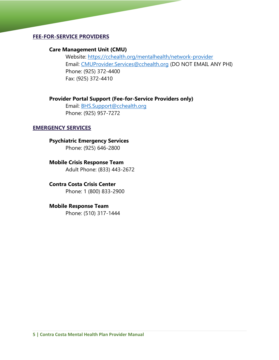## **FEE-FOR-SERVICE PROVIDERS**

#### **Care Management Unit (CMU)**

Website: https://cchealth.org/mentalhealth/network-provider Email: CMUProvider.Services@cchealth.org (DO NOT EMAIL ANY PHI) Phone: (925) 372-4400 Fax: (925) 372-4410

#### **Provider Portal Support (Fee-for-Service Providers only)**

Email: BHS.Support@cchealth.org Phone: (925) 957-7272

#### **EMERGENCY SERVICES**

**Psychiatric Emergency Services** 

Phone: (925) 646-2800

**Mobile Crisis Response Team**  Adult Phone: (833) 443-2672

**Contra Costa Crisis Center**  Phone: 1 (800) 833-2900

## **Mobile Response Team**

Phone: (510) 317-1444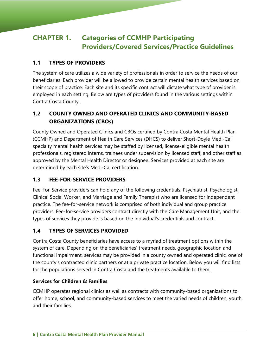# **CHAPTER 1. Categories of CCMHP Participating Providers/Covered Services/Practice Guidelines**

# **1.1 TYPES OF PROVIDERS**

The system of care utilizes a wide variety of professionals in order to service the needs of our beneficiaries. Each provider will be allowed to provide certain mental health services based on their scope of practice. Each site and its specific contract will dictate what type of provider is employed in each setting. Below are types of providers found in the various settings within Contra Costa County.

# **1.2 COUNTY OWNED AND OPERATED CLINICS AND COMMUNITY-BASED ORGANIZATIONS (CBOs)**

County Owned and Operated Clinics and CBOs certified by Contra Costa Mental Health Plan (CCMHP) and Department of Health Care Services (DHCS) to deliver Short-Doyle Medi-Cal specialty mental health services may be staffed by licensed, license-eligible mental health professionals, registered interns, trainees under supervision by licensed staff, and other staff as approved by the Mental Health Director or designee. Services provided at each site are determined by each site's Medi-Cal certification.

# **1.3 FEE-FOR-SERVICE PROVIDERS**

Fee-For-Service providers can hold any of the following credentials: Psychiatrist, Psychologist, Clinical Social Worker, and Marriage and Family Therapist who are licensed for independent practice. The fee-for-service network is comprised of both individual and group practice providers. Fee-for-service providers contract directly with the Care Management Unit, and the types of services they provide is based on the individual's credentials and contract.

# **1.4 TYPES OF SERVICES PROVIDED**

Contra Costa County beneficiaries have access to a myriad of treatment options within the system of care. Depending on the beneficiaries' treatment needs, geographic location and functional impairment, services may be provided in a county owned and operated clinic, one of the county's contracted clinic partners or at a private practice location. Below you will find lists for the populations served in Contra Costa and the treatments available to them.

# **Services for Children & Families**

CCMHP operates regional clinics as well as contracts with community-based organizations to offer home, school, and community-based services to meet the varied needs of children, youth, and their families.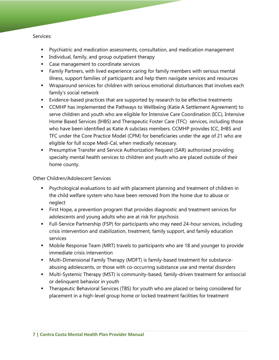#### Services:

- Psychiatric and medication assessments, consultation, and medication management
- **Individual, family, and group outpatient therapy**
- **EXEC** Case management to coordinate services
- Family Partners, with lived experience caring for family members with serious mental illness, support families of participants and help them navigate services and resources
- Wraparound services for children with serious emotional disturbances that involves each family's social network
- **Example 1** Evidence-based practices that are supported by research to be effective treatments
- CCMHP has implemented the Pathways to Wellbeing (Katie A Settlement Agreement) to serve children and youth who are eligible for Intensive Care Coordination (ICC), Intensive Home Based Services (IHBS) and Therapeutic Foster Care (TFC) services, including those who have been identified as Katie A subclass members. CCMHP provides ICC, IHBS and TFC under the Core Practice Model (CPM) for beneficiaries under the age of 21 who are eligible for full scope Medi-Cal, when medically necessary.
- Presumptive Transfer and Service Authorization Request (SAR) authorized providing specialty mental health services to children and youth who are placed outside of their home county.

#### Other Children/Adolescent Services

- Psychological evaluations to aid with placement planning and treatment of children in the child welfare system who have been removed from the home due to abuse or neglect
- **First Hope, a prevention program that provides diagnostic and treatment services for** adolescents and young adults who are at risk for psychosis
- Full-Service Partnership (FSP) for participants who may need 24-hour services, including crisis intervention and stabilization, treatment, family support, and family education services
- Mobile Response Team (MRT) travels to participants who are 18 and younger to provide immediate crisis intervention
- Multi-Dimensional Family Therapy (MDFT) is family-based treatment for substanceabusing adolescents, or those with co-occurring substance use and mental disorders
- Multi-Systemic Therapy (MST) is community-based, family-driven treatment for antisocial or delinquent behavior in youth
- Therapeutic Behavioral Services (TBS) for youth who are placed or being considered for placement in a high-level group home or locked treatment facilities for treatment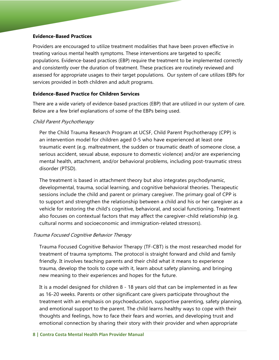#### **Evidence-Based Practices**

Providers are encouraged to utilize treatment modalities that have been proven effective in treating various mental health symptoms. These interventions are targeted to specific populations. Evidence-based practices (EBP) require the treatment to be implemented correctly and consistently over the duration of treatment. These practices are routinely reviewed and assessed for appropriate usages to their target populations. Our system of care utilizes EBPs for services provided in both children and adult programs.

## **Evidence-Based Practice for Children Services**

There are a wide variety of evidence-based practices (EBP) that are utilized in our system of care. Below are a few brief explanations of some of the EBPs being used.

#### Child Parent Psychotherapy

Per the Child Trauma Research Program at UCSF, Child Parent Psychotherapy (CPP) is an intervention model for children aged 0-5 who have experienced at least one traumatic event (e.g. maltreatment, the sudden or traumatic death of someone close, a serious accident, sexual abuse, exposure to domestic violence) and/or are experiencing mental health, attachment, and/or behavioral problems, including post-traumatic stress disorder (PTSD).

The treatment is based in attachment theory but also integrates psychodynamic, developmental, trauma, social learning, and cognitive behavioral theories. Therapeutic sessions include the child and parent or primary caregiver. The primary goal of CPP is to support and strengthen the relationship between a child and his or her caregiver as a vehicle for restoring the child's cognitive, behavioral, and social functioning. Treatment also focuses on contextual factors that may affect the caregiver-child relationship (e.g. cultural norms and socioeconomic and immigration-related stressors).

## Trauma Focused Cognitive Behavior Therapy

Trauma Focused Cognitive Behavior Therapy (TF-CBT) is the most researched model for treatment of trauma symptoms. The protocol is straight forward and child and family friendly. It involves teaching parents and their child what it means to experience trauma, develop the tools to cope with it, learn about safety planning, and bringing new meaning to their experiences and hopes for the future.

It is a model designed for children 8 - 18 years old that can be implemented in as few as 16-20 weeks. Parents or other significant care givers participate throughout the treatment with an emphasis on psychoeducation, supportive parenting, safety planning, and emotional support to the parent. The child learns healthy ways to cope with their thoughts and feelings, how to face their fears and worries, and developing trust and emotional connection by sharing their story with their provider and when appropriate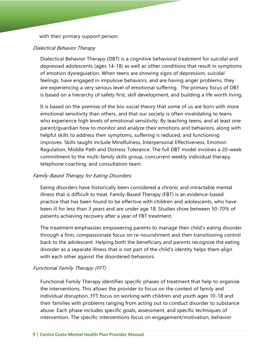with their primary support person.

#### Dialectical Behavior Therapy

Dialectical Behavior Therapy (DBT) is a cognitive behavioral treatment for suicidal and depressed adolescents (ages 14-18) as well as other conditions that result in symptoms of emotion dysregulation. When teens are showing signs of depression, suicidal feelings, have engaged in impulsive behaviors, and are having anger problems, they are experiencing a very serious level of emotional suffering. The primary focus of DBT is based on a hierarchy of safety first, skill development, and building a life worth living.

emotional sensitivity than others, and that our society is often invalidating to teens It is based on the premise of the bio-social theory that some of us are born with more who experience high levels of emotional sensitivity. By teaching teens, and at least one parent/guardian how to monitor and analyze their emotions and behaviors, along with helpful skills to address their symptoms, suffering is reduced, and functioning improves. Skills taught include Mindfulness, Interpersonal Effectiveness, Emotion Regulation, Middle Path and Distress Tolerance. The full DBT model involves a 20-week commitment to the multi-family skills group, concurrent weekly individual therapy, telephone coaching, and consultation team.

#### Family-Based Therapy for Eating Disorders

Eating disorders have historically been considered a chronic and intractable mental illness that is difficult to treat. Family-Based Therapy (FBT) is an evidence-based practice that has been found to be effective with children and adolescents, who have been ill for less than 3 years and are under age 18. Studies show between 50-70% of patients achieving recovery after a year of FBT treatment.

The treatment emphasizes empowering parents to manage their child's eating disorder through a firm, compassionate focus on re-nourishment and then transitioning control back to the adolescent. Helping both the beneficiary and parents recognize the eating disorder as a separate illness that is not part of the child's identity helps them align with each other against the disordered behaviors.

#### Functional Family Therapy (FFT)

Functional Family Therapy identifies specific phases of treatment that help to organize the interventions. This allows the provider to focus on the context of family and individual disruption. FFT focus on working with children and youth ages 10-18 and their families with problems ranging from acting out to conduct disorder to substance abuse. Each phase includes specific goals, assessment, and specific techniques of intervention. The specific interventions focus on engagement/motivation, behavior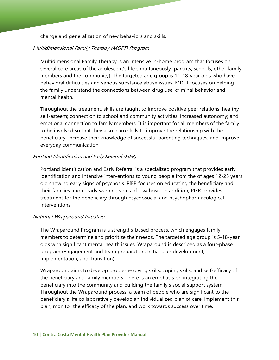change and generalization of new behaviors and skills.

#### Multidimensional Family Therapy (MDFT) Program

Multidimensional Family Therapy is an intensive in-home program that focuses on several core areas of the adolescent's life simultaneously (parents, schools, other family members and the community). The targeted age group is 11-18-year olds who have behavioral difficulties and serious substance abuse issues. MDFT focuses on helping the family understand the connections between drug use, criminal behavior and mental health.

Throughout the treatment, skills are taught to improve positive peer relations: healthy self-esteem; connection to school and community activities; increased autonomy; and emotional connection to family members. It is important for all members of the family to be involved so that they also learn skills to improve the relationship with the beneficiary; increase their knowledge of successful parenting techniques; and improve everyday communication.

#### Portland Identification and Early Referral (PIER)

Portland Identification and Early Referral is a specialized program that provides early identification and intensive interventions to young people from the of ages 12-25 years old showing early signs of psychosis. PIER focuses on educating the beneficiary and their families about early warning signs of psychosis. In addition, PIER provides treatment for the beneficiary through psychosocial and psychopharmacological interventions.

#### National Wraparound Initiative

The Wraparound Program is a strengths-based process, which engages family members to determine and prioritize their needs. The targeted age group is 5-18-year olds with significant mental health issues. Wraparound is described as a four-phase program (Engagement and team preparation, Initial plan development, Implementation, and Transition).

Wraparound aims to develop problem-solving skills, coping skills, and self-efficacy of the beneficiary and family members. There is an emphasis on integrating the beneficiary into the community and building the family's social support system. Throughout the Wraparound process, a team of people who are significant to the beneficiary's life collaboratively develop an individualized plan of care, implement this plan, monitor the efficacy of the plan, and work towards success over time.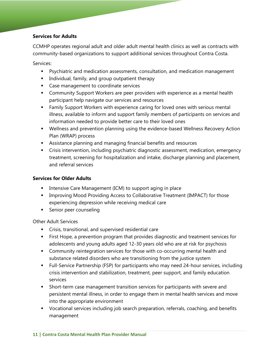## **Services for Adults**

CCMHP operates regional adult and older adult mental health clinics as well as contracts with community-based organizations to support additional services throughout Contra Costa.

Services:

- Psychiatric and medication assessments, consultation, and medication management
- **Individual, family, and group outpatient therapy**
- **Case management to coordinate services**
- **EXP** Community Support Workers are peer providers with experience as a mental health participant help navigate our services and resources
- Family Support Workers with experience caring for loved ones with serious mental illness, available to inform and support family members of participants on services and information needed to provide better care to their loved ones
- Wellness and prevention planning using the evidence-based Wellness Recovery Action Plan (WRAP) process
- Assistance planning and managing financial benefits and resources
- Crisis intervention, including psychiatric diagnostic assessment, medication, emergency treatment, screening for hospitalization and intake, discharge planning and placement, and referral services

## **Services for Older Adults**

- **Intensive Care Management (ICM) to support aging in place**
- Improving Mood Providing Access to Collaborative Treatment (IMPACT) for those experiencing depression while receiving medical care
- **Senior peer counseling**

Other Adult Services

- Crisis, transitional, and supervised residential care
- First Hope, a prevention program that provides diagnostic and treatment services for adolescents and young adults aged 12-30 years old who are at risk for psychosis
- Community reintegration services for those with co-occurring mental health and substance related disorders who are transitioning from the justice system
- Full-Service Partnership (FSP) for participants who may need 24-hour services, including crisis intervention and stabilization, treatment, peer support, and family education services
- Short-term case management transition services for participants with severe and persistent mental illness, in order to engage them in mental health services and move into the appropriate environment
- Vocational services including job search preparation, referrals, coaching, and benefits management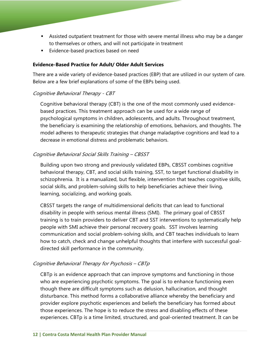- Assisted outpatient treatment for those with severe mental illness who may be a danger to themselves or others, and will not participate in treatment
- **Evidence-based practices based on need**

#### **Evidence-Based Practice for Adult/ Older Adult Services**

There are a wide variety of evidence-based practices (EBP) that are utilized in our system of care. Below are a few brief explanations of some of the EBPs being used.

## Cognitive Behavioral Therapy - CBT

Cognitive behavioral therapy (CBT) is the one of the most commonly used evidencebased practices. This treatment approach can be used for a wide range of psychological symptoms in children, adolescents, and adults. Throughout treatment, the beneficiary is examining the relationship of emotions, behaviors, and thoughts. The model adheres to therapeutic strategies that change maladaptive cognitions and lead to a decrease in emotional distress and problematic behaviors.

#### Cognitive Behavioral Social Skills Training – CBSST

Building upon two strong and previously validated EBPs, CBSST combines cognitive behavioral therapy, CBT, and social skills training, SST, to target functional disability in schizophrenia. It is a manualized, but flexible, intervention that teaches cognitive skills, social skills, and problem-solving skills to help beneficiaries achieve their living, learning, socializing, and working goals.

CBSST targets the range of multidimensional deficits that can lead to functional disability in people with serious mental illness (SMI). The primary goal of CBSST training is to train providers to deliver CBT and SST interventions to systematically help people with SMI achieve their personal recovery goals. SST involves learning communication and social problem-solving skills, and CBT teaches individuals to learn how to catch, check and change unhelpful thoughts that interfere with successful goaldirected skill performance in the community.

## Cognitive Behavioral Therapy for Psychosis – CBTp

CBTp is an evidence approach that can improve symptoms and functioning in those who are experiencing psychotic symptoms. The goal is to enhance functioning even though there are difficult symptoms such as delusion, hallucination, and thought disturbance. This method forms a collaborative alliance whereby the beneficiary and provider explore psychotic experiences and beliefs the beneficiary has formed about those experiences. The hope is to reduce the stress and disabling effects of these experiences. CBTp is a time limited, structured, and goal-oriented treatment. It can be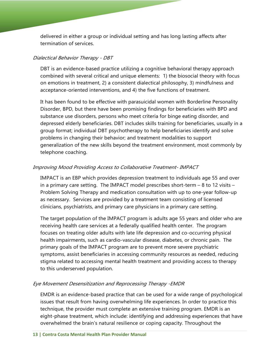delivered in either a group or individual setting and has long lasting affects after termination of services.

#### Dialectical Behavior Therapy - DBT

DBT is an evidence-based practice utilizing a cognitive behavioral therapy approach combined with several critical and unique elements: 1) the biosocial theory with focus on emotions in treatment, 2) a consistent dialectical philosophy, 3) mindfulness and acceptance-oriented interventions, and 4) the five functions of treatment.

It has been found to be effective with parasuicidal women with Borderline Personality Disorder, BPD, but there have been promising findings for beneficiaries with BPD and substance use disorders, persons who meet criteria for binge eating disorder, and depressed elderly beneficiaries. DBT includes skills training for beneficiaries, usually in a group format; individual DBT psychotherapy to help beneficiaries identify and solve problems in changing their behavior; and treatment modalities to support generalization of the new skills beyond the treatment environment, most commonly by telephone coaching.

## Improving Mood Providing Access to Collaborative Treatment- IMPACT

IMPACT is an EBP which provides depression treatment to individuals age 55 and over in a primary care setting. The IMPACT model prescribes short-term – 8 to 12 visits – Problem Solving Therapy and medication consultation with up to one-year follow-up as necessary. Services are provided by a treatment team consisting of licensed clinicians, psychiatrists, and primary care physicians in a primary care setting.

The target population of the IMPACT program is adults age 55 years and older who are receiving health care services at a federally qualified health center. The program focuses on treating older adults with late life depression and co-occurring physical health impairments, such as cardio-vascular disease, diabetes, or chronic pain. The primary goals of the IMPACT program are to prevent more severe psychiatric symptoms, assist beneficiaries in accessing community resources as needed, reducing stigma related to accessing mental health treatment and providing access to therapy to this underserved population.

## Eye Movement Desensitization and Reprocessing Therapy -EMDR

EMDR is an evidence-based practice that can be used for a wide range of psychological issues that result from having overwhelming life experiences. In order to practice this technique, the provider must complete an extensive training program. EMDR is an eight-phase treatment, which include: identifying and addressing experiences that have overwhelmed the brain's natural resilience or coping capacity. Throughout the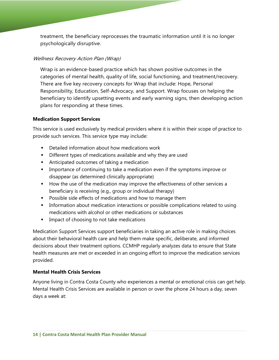treatment, the beneficiary reprocesses the traumatic information until it is no longer psychologically disruptive.

## Wellness Recovery Action Plan (Wrap)

Wrap is an evidence-based practice which has shown positive outcomes in the categories of mental health, quality of life, social functioning, and treatment/recovery. There are five key recovery concepts for Wrap that include: Hope, Personal Responsibility, Education, Self-Advocacy, and Support. Wrap focuses on helping the beneficiary to identify upsetting events and early warning signs, then developing action plans for responding at these times.

## **Medication Support Services**

This service is used exclusively by medical providers where it is within their scope of practice to provide such services. This service type may include:

- **•** Detailed information about how medications work
- **Different types of medications available and why they are used**
- **Anticipated outcomes of taking a medication**
- **IMPORT** Importance of continuing to take a medication even if the symptoms improve or disappear (as determined clinically appropriate)
- How the use of the medication may improve the effectiveness of other services a beneficiary is receiving (e.g., group or individual therapy)
- Possible side effects of medications and how to manage them
- **Information about medication interactions or possible complications related to using** medications with alcohol or other medications or substances
- **IMPACT OF CHOOSING TO THE MEDICAL PROPERTY**

Medication Support Services support beneficiaries in taking an active role in making choices about their behavioral health care and help them make specific, deliberate, and informed decisions about their treatment options. CCMHP regularly analyzes data to ensure that State health measures are met or exceeded in an ongoing effort to improve the medication services provided.

## **Mental Health Crisis Services**

Anyone living in Contra Costa County who experiences a mental or emotional crisis can get help. Mental Health Crisis Services are available in person or over the phone 24 hours a day, seven days a week at: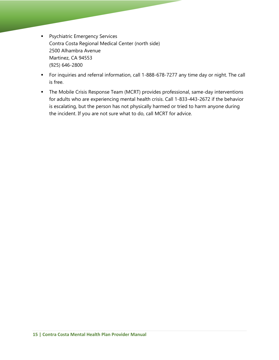- **Psychiatric Emergency Services** Contra Costa Regional Medical Center (north side) 2500 Alhambra Avenue Martinez, CA 94553 (925) 646-2800
- For inquiries and referral information, call 1-888-678-7277 any time day or night. The call is free.
- The Mobile Crisis Response Team (MCRT) provides professional, same-day interventions for adults who are experiencing mental health crisis. Call 1-833-443-2672 if the behavior is escalating, but the person has not physically harmed or tried to harm anyone during the incident. If you are not sure what to do, call MCRT for advice.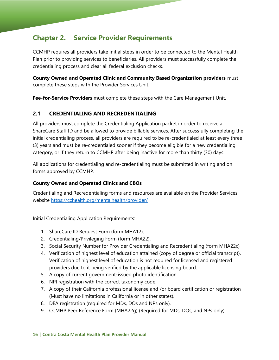# **Chapter 2. Service Provider Requirements**

CCMHP requires all providers take initial steps in order to be connected to the Mental Health Plan prior to providing services to beneficiaries. All providers must successfully complete the credentialing process and clear all federal exclusion checks.

**County Owned and Operated Clinic and Community Based Organization providers** must complete these steps with the Provider Services Unit.

**Fee-for-Service Providers** must complete these steps with the Care Management Unit.

# **2.1 CREDENTIALING AND RECREDENTIALING**

All providers must complete the Credentialing Application packet in order to receive a ShareCare Staff ID and be allowed to provide billable services. After successfully completing the initial credentialing process, all providers are required to be re-credentialed at least every three (3) years and must be re-credentialed sooner if they become eligible for a new credentialing category, or if they return to CCMHP after being inactive for more than thirty (30) days.

All applications for credentialing and re-credentialing must be submitted in writing and on forms approved by CCMHP.

## **County Owned and Operated Clinics and CBOs**

Credentialing and Recredentialing forms and resources are available on the Provider Services website https://cchealth.org/mentalhealth/provider/

Initial Credentialing Application Requirements:

- 1. ShareCare ID Request Form (form MHA12).
- 2. Credentialing/Privileging Form (form MHA22).
- 3. Social Security Number for Provider Credentialing and Recredentialing (form MHA22c)
- 4. Verification of highest level of education attained (copy of degree or official transcript). Verification of highest level of education is not required for licensed and registered providers due to it being verified by the applicable licensing board.
- 5. A copy of current government-issued photo identification.
- 6. NPI registration with the correct taxonomy code.
- 7. A copy of their California professional license and /or board certification or registration (Must have no limitations in California or in other states).
- 8. DEA registration (required for MDs, DOs and NPs only).
- 9. CCMHP Peer Reference Form (MHA22g) (Required for MDs, DOs, and NPs only)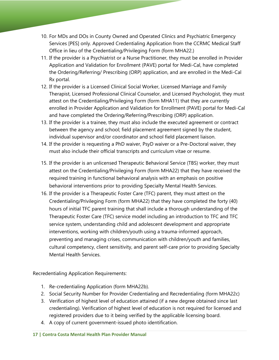- 10. For MDs and DOs in County Owned and Operated Clinics and Psychiatric Emergency Services [PES] only. Approved Credentialing Application from the CCRMC Medical Staff Office in lieu of the Credentialing/Privileging Form (form MHA22.)
- 11. If the provider is a Psychiatrist or a Nurse Practitioner, they must be enrolled in Provider Application and Validation for Enrollment (PAVE) portal for Medi-Cal, have completed the Ordering/Referring/ Prescribing (ORP) application, and are enrolled in the Medi-Cal Rx portal.
- 12. If the provider is a Licensed Clinical Social Worker, Licensed Marriage and Family Therapist, Licensed Professional Clinical Counselor, and Licensed Psychologist, they must attest on the Credentialing/Privileging Form (form MHA11) that they are currently enrolled in Provider Application and Validation for Enrollment (PAVE) portal for Medi-Cal and have completed the Ordering/Referring/Prescribing (ORP) application.
- 13. If the provider is a trainee, they must also include the executed agreement or contract between the agency and school; field placement agreement signed by the student, individual supervisor and/or coordinator and school field placement liaison.
- 14. If the provider is requesting a PhD waiver, PsyD waiver or a Pre-Doctoral waiver, they must also include their official transcripts and curriculum vitae or resume.
- 15. If the provider is an unlicensed Therapeutic Behavioral Service (TBS) worker, they must attest on the Credentialing/Privileging Form (form MHA22) that they have received the required training in functional behavioral analysis with an emphasis on positive behavioral interventions prior to providing Specialty Mental Health Services.
- 16. If the provider is a Therapeutic Foster Care (TFC) parent, they must attest on the Credentialing/Privileging Form (form MHA22) that they have completed the forty (40) hours of initial TFC parent training that shall include a thorough understanding of the Therapeutic Foster Care (TFC) service model including an introduction to TFC and TFC service system, understanding child and adolescent development and appropriate interventions, working with children/youth using a trauma-informed approach, preventing and managing crises, communication with children/youth and families, cultural competency, client sensitivity, and parent self-care prior to providing Specialty Mental Health Services.

Recredentialing Application Requirements:

- 1. Re-credentialing Application (form MHA22b).
- 2. Social Security Number for Provider Credentialing and Recredentialing (form MHA22c)
- 3. Verification of highest level of education attained (if a new degree obtained since last credentialing). Verification of highest level of education is not required for licensed and registered providers due to it being verified by the applicable licensing board.
- 4. A copy of current government-issued photo identification.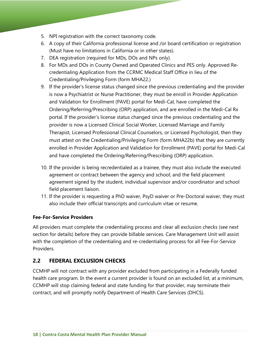- 5. NPI registration with the correct taxonomy code.
- 6. A copy of their California professional license and /or board certification or registration (Must have no limitations in California or in other states).
- 7. DEA registration (required for MDs, DOs and NPs only).
- 8. For MDs and DOs in County Owned and Operated Clinics and PES only. Approved Recredentialing Application from the CCRMC Medical Staff Office in lieu of the Credentialing/Privileging Form (form MHA22.)
- 9. If the provider's license status changed since the previous credentialing and the provider is now a Psychiatrist or Nurse Practitioner, they must be enroll in Provider Application and Validation for Enrollment (PAVE) portal for Medi-Cal, have completed the Ordering/Referring/Prescribing (ORP) application, and are enrolled in the Medi-Cal Rx portal. If the provider's license status changed since the previous credentialing and the provider is now a Licensed Clinical Social Worker, Licensed Marriage and Family Therapist, Licensed Professional Clinical Counselors, or Licensed Psychologist, then they must attest on the Credentialing/Privileging Form (form MHA22b) that they are currently enrolled in Provider Application and Validation for Enrollment (PAVE) portal for Medi-Cal and have completed the Ordering/Referring/Prescribing (ORP) application.
- 10. If the provider is being recredentialed as a trainee, they must also include the executed agreement or contract between the agency and school; and the field placement agreement signed by the student, individual supervisor and/or coordinator and school field placement liaison.
- 11. If the provider is requesting a PhD waiver, PsyD waiver or Pre-Doctoral waiver, they must also include their official transcripts and curriculum vitae or resume.

## **Fee-For-Service Providers**

All providers must complete the credentialing process and clear all exclusion checks (see next section for details) before they can provide billable services. Care Management Unit will assist with the completion of the credentialing and re-credentialing process for all Fee-For-Service Providers.

# **2.2 FEDERAL EXCLUSION CHECKS**

CCMHP will not contract with any provider excluded from participating in a Federally funded health care program. In the event a current provider is found on an excluded list, at a minimum, CCMHP will stop claiming federal and state funding for that provider, may terminate their contract, and will promptly notify Department of Health Care Services (DHCS).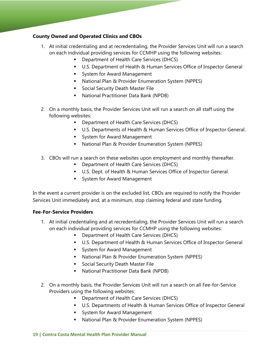## **County Owned and Operated Clinics and CBOs**

- 1. At initial credentialing and at recredentialing, the Provider Services Unit will run a search on each individual providing services for CCMHP using the following websites:
	- Department of Health Care Services (DHCS)
	- U.S. Department of Health & Human Services Office of Inspector General
	- **System for Award Management**
	- National Plan & Provider Enumeration System (NPPES)
	- **Social Security Death Master File**
	- National Practitioner Data Bank (NPDB)
- 2. On a monthly basis, the Provider Services Unit will run a search on all staff using the following websites:
	- **Department of Health Care Services (DHCS)**
	- U.S. Departments of Health & Human Services Office of Inspector General.
	- **System for Award Management**
	- National Plan & Provider Enumeration System (NPPES)
- 3. CBOs will run a search on these websites upon employment and monthly thereafter.
	- **•** Department of Health Care Services (DHCS)
	- **U.S. Dept. of Health & Human Services Office of Inspector General.**
	- **System for Award Management**

In the event a current provider is on the excluded list, CBOs are required to notify the Provider Services Unit immediately and, at a minimum, stop claiming federal and state funding.

## **Fee-For-Service Providers**

- 1. At initial credentialing and at recredentialing, the Provider Services Unit will run a search on each individual providing services for CCMHP using the following websites:
	- **Department of Health Care Services (DHCS)**
	- **U.S. Department of Health & Human Services Office of Inspector General**
	- **System for Award Management**
	- National Plan & Provider Enumeration System (NPPES)
	- **Social Security Death Master File**
	- National Practitioner Data Bank (NPDB)
- 2. On a monthly basis, the Provider Services Unit will run a search on all Fee-for-Service Providers using the following websites:
	- **Department of Health Care Services (DHCS)**
	- U.S. Departments of Health & Human Services Office of Inspector General
	- System for Award Management
	- National Plan & Provider Enumeration System (NPPES)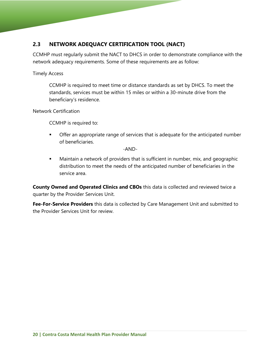# **2.3 NETWORK ADEQUACY CERTIFICATION TOOL (NACT)**

CCMHP must regularly submit the NACT to DHCS in order to demonstrate compliance with the network adequacy requirements. Some of these requirements are as follow:

Timely Access

CCMHP is required to meet time or distance standards as set by DHCS. To meet the standards, services must be within 15 miles or within a 30-minute drive from the beneficiary's residence.

Network Certification

CCMHP is required to:

**•** Offer an appropriate range of services that is adequate for the anticipated number of beneficiaries.

-AND-

**Maintain a network of providers that is sufficient in number, mix, and geographic** distribution to meet the needs of the anticipated number of beneficiaries in the service area.

**County Owned and Operated Clinics and CBOs** this data is collected and reviewed twice a quarter by the Provider Services Unit.

**Fee-For-Service Providers** this data is collected by Care Management Unit and submitted to the Provider Services Unit for review.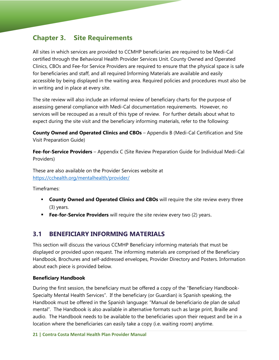# **Chapter 3. Site Requirements**

All sites in which services are provided to CCMHP beneficiaries are required to be Medi-Cal certified through the Behavioral Health Provider Services Unit. County Owned and Operated Clinics, CBOs and Fee-for Service Providers are required to ensure that the physical space is safe for beneficiaries and staff, and all required Informing Materials are available and easily accessible by being displayed in the waiting area. Required policies and procedures must also be in writing and in place at every site.

The site review will also include an informal review of beneficiary charts for the purpose of assessing general compliance with Medi-Cal documentation requirements. However, no services will be recouped as a result of this type of review. For further details about what to expect during the site visit and the beneficiary informing materials, refer to the following:

**County Owned and Operated Clinics and CBOs** – Appendix B (Medi-Cal Certification and Site Visit Preparation Guide)

**Fee-for-Service Providers** – Appendix C (Site Review Preparation Guide for Individual Medi-Cal Providers)

These are also available on the Provider Services website at https://cchealth.org/mentalhealth/provider/

Timeframes:

- **County Owned and Operated Clinics and CBOs** will require the site review every three (3) years.
- **Fee-for-Service Providers** will require the site review every two (2) years.

# **3.1 BENEFICIARY INFORMING MATERIALS**

This section will discuss the various CCMHP Beneficiary informing materials that must be displayed or provided upon request. The informing materials are comprised of the Beneficiary Handbook, Brochures and self-addressed envelopes, Provider Directory and Posters. Information about each piece is provided below.

#### **Beneficiary Handbook**

During the first session, the beneficiary must be offered a copy of the "Beneficiary Handbook-Specialty Mental Health Services". If the beneficiary (or Guardian) is Spanish speaking, the Handbook must be offered in the Spanish language: "Manual de beneficiario de plan de salud mental". The Handbook is also available in alternative formats such as large print, Braille and audio. The Handbook needs to be available to the beneficiaries upon their request and be in a location where the beneficiaries can easily take a copy (i.e. waiting room) anytime.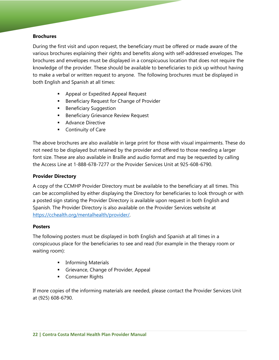#### **Brochures**

During the first visit and upon request, the beneficiary must be offered or made aware of the various brochures explaining their rights and benefits along with self-addressed envelopes. The brochures and envelopes must be displayed in a conspicuous location that does not require the knowledge of the provider. These should be available to beneficiaries to pick up without having to make a verbal or written request to anyone. The following brochures must be displayed in both English and Spanish at all times:

- **Appeal or Expedited Appeal Request**
- **Beneficiary Request for Change of Provider**
- **Beneficiary Suggestion**
- **Beneficiary Grievance Review Request**
- **Advance Directive**
- **Continuity of Care**

The above brochures are also available in large print for those with visual impairments. These do not need to be displayed but retained by the provider and offered to those needing a larger font size. These are also available in Braille and audio format and may be requested by calling the Access Line at 1-888-678-7277 or the Provider Services Unit at 925-608-6790.

## **Provider Directory**

A copy of the CCMHP Provider Directory must be available to the beneficiary at all times. This can be accomplished by either displaying the Directory for beneficiaries to look through or with a posted sign stating the Provider Directory is available upon request in both English and Spanish. The Provider Directory is also available on the Provider Services website at https://cchealth.org/mentalhealth/provider/.

#### **Posters**

The following posters must be displayed in both English and Spanish at all times in a conspicuous place for the beneficiaries to see and read (for example in the therapy room or waiting room):

- **Informing Materials**
- Grievance, Change of Provider, Appeal
- **Consumer Rights**

If more copies of the informing materials are needed, please contact the Provider Services Unit at (925) 608-6790.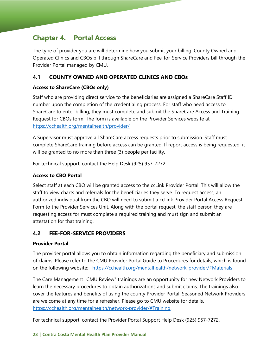# **Chapter 4. Portal Access**

The type of provider you are will determine how you submit your billing. County Owned and Operated Clinics and CBOs bill through ShareCare and Fee-for-Service Providers bill through the Provider Portal managed by CMU.

# **4.1 COUNTY OWNED AND OPERATED CLINICS AND CBOs**

## **Access to ShareCare (CBOs only)**

Staff who are providing direct service to the beneficiaries are assigned a ShareCare Staff ID number upon the completion of the credentialing process. For staff who need access to ShareCare to enter billing, they must complete and submit the ShareCare Access and Training Request for CBOs form. The form is available on the Provider Services website at https://cchealth.org/mentalhealth/provider/.

A Supervisor must approve all ShareCare access requests prior to submission. Staff must complete ShareCare training before access can be granted. If report access is being requested, it will be granted to no more than three (3) people per facility.

For technical support, contact the Help Desk (925) 957-7272.

## **Access to CBO Portal**

Select staff at each CBO will be granted access to the ccLink Provider Portal. This will allow the staff to view charts and referrals for the beneficiaries they serve. To request access, an authorized individual from the CBO will need to submit a ccLink Provider Portal Access Request Form to the Provider Services Unit. Along with the portal request, the staff person they are requesting access for must complete a required training and must sign and submit an attestation for that training.

# **4.2 FEE-FOR-SERVICE PROVIDERS**

## **Provider Portal**

The provider portal allows you to obtain information regarding the beneficiary and submission of claims. Please refer to the CMU Provider Portal Guide to Procedures for details, which is found on the following website: https://cchealth.org/mentalhealth/network-provider/#Materials

The Care Management "CMU Review" trainings are an opportunity for new Network Providers to learn the necessary procedures to obtain authorizations and submit claims. The trainings also cover the features and benefits of using the county Provider Portal. Seasoned Network Providers are welcome at any time for a refresher. Please go to CMU website for details. https://cchealth.org/mentalhealth/network-provider/#Training.

For technical support, contact the Provider Portal Support Help Desk (925) 957-7272.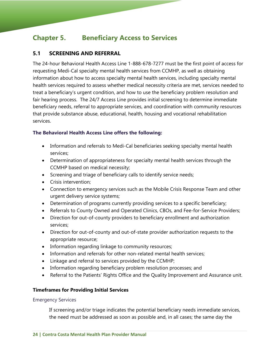# **Chapter 5. Beneficiary Access to Services**

# **5.1 SCREENING AND REFERRAL**

The 24-hour Behavioral Health Access Line 1-888-678-7277 must be the first point of access for requesting Medi-Cal specialty mental health services from CCMHP, as well as obtaining information about how to access specialty mental health services, including specialty mental health services required to assess whether medical necessity criteria are met, services needed to treat a beneficiary's urgent condition, and how to use the beneficiary problem resolution and fair hearing process. The 24/7 Access Line provides initial screening to determine immediate beneficiary needs, referral to appropriate services, and coordination with community resources that provide substance abuse, educational, health, housing and vocational rehabilitation services.

## **The Behavioral Health Access Line offers the following:**

- Information and referrals to Medi-Cal beneficiaries seeking specialty mental health services;
- Determination of appropriateness for specialty mental health services through the CCMHP based on medical necessity;
- Screening and triage of beneficiary calls to identify service needs;
- Crisis intervention;
- Connection to emergency services such as the Mobile Crisis Response Team and other urgent delivery service systems;
- Determination of programs currently providing services to a specific beneficiary;
- Referrals to County Owned and Operated Clinics, CBOs, and Fee-for-Service Providers;
- Direction for out-of-county providers to beneficiary enrollment and authorization services;
- Direction for out-of-county and out-of-state provider authorization requests to the appropriate resource;
- Information regarding linkage to community resources;
- Information and referrals for other non-related mental health services;
- Linkage and referral to services provided by the CCMHP;
- Information regarding beneficiary problem resolution processes; and
- Referral to the Patients' Rights Office and the Quality Improvement and Assurance unit.

## **Timeframes for Providing Initial Services**

#### Emergency Services

If screening and/or triage indicates the potential beneficiary needs immediate services, the need must be addressed as soon as possible and, in all cases; the same day the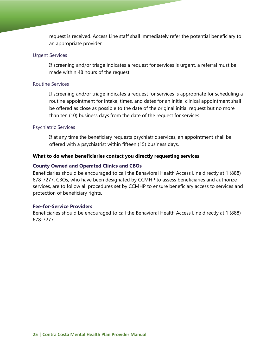request is received. Access Line staff shall immediately refer the potential beneficiary to an appropriate provider.

#### Urgent Services

If screening and/or triage indicates a request for services is urgent, a referral must be made within 48 hours of the request.

#### Routine Services

If screening and/or triage indicates a request for services is appropriate for scheduling a routine appointment for intake, times, and dates for an initial clinical appointment shall be offered as close as possible to the date of the original initial request but no more than ten (10) business days from the date of the request for services.

#### Psychiatric Services

If at any time the beneficiary requests psychiatric services, an appointment shall be offered with a psychiatrist within fifteen (15) business days.

#### **What to do when beneficiaries contact you directly requesting services**

#### **County Owned and Operated Clinics and CBOs**

Beneficiaries should be encouraged to call the Behavioral Health Access Line directly at 1 (888) 678-7277. CBOs, who have been designated by CCMHP to assess beneficiaries and authorize services, are to follow all procedures set by CCMHP to ensure beneficiary access to services and protection of beneficiary rights.

#### **Fee-for-Service Providers**

Beneficiaries should be encouraged to call the Behavioral Health Access Line directly at 1 (888) 678-7277.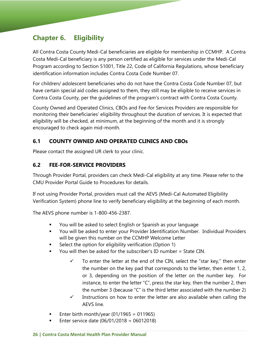# **Chapter 6. Eligibility**

All Contra Costa County Medi-Cal beneficiaries are eligible for membership in CCMHP. A Contra Costa Medi-Cal beneficiary is any person certified as eligible for services under the Medi-Cal Program according to Section 51001, Title 22, Code of California Regulations, whose beneficiary identification information includes Contra Costa Code Number 07.

For children/ adolescent beneficiaries who do not have the Contra Costa Code Number 07, but have certain special aid codes assigned to them, they still may be eligible to receive services in Contra Costa County, per the guidelines of the program's contract with Contra Costa County.

County Owned and Operated Clinics, CBOs and Fee-for Services Providers are responsible for monitoring their beneficiaries' eligibility throughout the duration of services. It is expected that eligibility will be checked, at minimum, at the beginning of the month and it is strongly encouraged to check again mid-month.

# **6.1 COUNTY OWNED AND OPERATED CLINICS AND CBOs**

Please contact the assigned UR clerk to your clinic.

# **6.2 FEE-FOR-SERVICE PROVIDERS**

Through Provider Portal, providers can check Medi-Cal eligibility at any time. Please refer to the CMU Provider Portal Guide to Procedures for details.

If not using Provider Portal, providers must call the AEVS (Medi-Cal Automated Eligibility Verification System) phone line to verify beneficiary eligibility at the beginning of each month.

The AEVS phone number is 1-800-456-2387.

- You will be asked to select English or Spanish as your language
- You will be asked to enter your Provider Identification Number. Individual Providers will be given this number on the CCMHP Welcome Letter
- **Select the option for eligibility verification (Option 1)**
- You will then be asked for the subscriber's ID number = State CIN.
	- $\checkmark$  To enter the letter at the end of the CIN, select the "star key," then enter the number on the key pad that corresponds to the letter, then enter 1, 2, or 3, depending on the position of the letter on the number key. For instance, to enter the letter "C", press the star key, then the number 2, then the number 3 (because "C" is the third letter associated with the number 2)
	- $\checkmark$  Instructions on how to enter the letter are also available when calling the AEVS line.
- Enter birth month/year  $(01/1965 = 011965)$
- **Enter service date (06/01/2018 = 06012018)**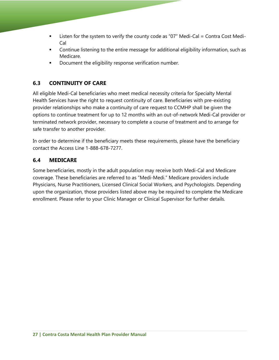- **Example 1** Listen for the system to verify the county code as "07" Medi-Cal = Contra Cost Medi-Cal
- **•** Continue listening to the entire message for additional eligibility information, such as Medicare.
- Document the eligibility response verification number.

# **6.3 CONTINUITY OF CARE**

All eligible Medi-Cal beneficiaries who meet medical necessity criteria for Specialty Mental Health Services have the right to request continuity of care. Beneficiaries with pre-existing provider relationships who make a continuity of care request to CCMHP shall be given the options to continue treatment for up to 12 months with an out-of-network Medi-Cal provider or terminated network provider, necessary to complete a course of treatment and to arrange for safe transfer to another provider.

In order to determine if the beneficiary meets these requirements, please have the beneficiary contact the Access Line 1-888-678-7277.

# **6.4 MEDICARE**

Some beneficiaries, mostly in the adult population may receive both Medi-Cal and Medicare coverage. These beneficiaries are referred to as "Medi-Medi." Medicare providers include Physicians, Nurse Practitioners, Licensed Clinical Social Workers, and Psychologists. Depending upon the organization, those providers listed above may be required to complete the Medicare enrollment. Please refer to your Clinic Manager or Clinical Supervisor for further details.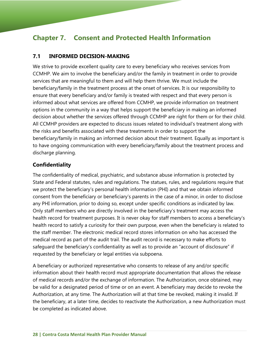# **Chapter 7. Consent and Protected Health Information**

## **7.1 INFORMED DECISION-MAKING**

We strive to provide excellent quality care to every beneficiary who receives services from CCMHP. We aim to involve the beneficiary and/or the family in treatment in order to provide services that are meaningful to them and will help them thrive. We must include the beneficiary/family in the treatment process at the onset of services. It is our responsibility to ensure that every beneficiary and/or family is treated with respect and that every person is informed about what services are offered from CCMHP, we provide information on treatment options in the community in a way that helps support the beneficiary in making an informed decision about whether the services offered through CCMHP are right for them or for their child. All CCMHP providers are expected to discuss issues related to individual's treatment along with the risks and benefits associated with these treatments in order to support the beneficiary/family in making an informed decision about their treatment. Equally as important is to have ongoing communication with every beneficiary/family about the treatment process and discharge planning.

## **Confidentiality**

The confidentiality of medical, psychiatric, and substance abuse information is protected by State and Federal statutes, rules and regulations. The statues, rules, and regulations require that we protect the beneficiary's personal health information (PHI) and that we obtain informed consent from the beneficiary or beneficiary's parents in the case of a minor, in order to disclose any PHI information, prior to doing so, except under specific conditions as indicated by law. Only staff members who are directly involved in the beneficiary's treatment may access the health record for treatment purposes. It is never okay for staff members to access a beneficiary's health record to satisfy a curiosity for their own purpose, even when the beneficiary is related to the staff member. The electronic medical record stores information on who has accessed the medical record as part of the audit trail. The audit record is necessary to make efforts to safeguard the beneficiary's confidentiality as well as to provide an "account of disclosure" if requested by the beneficiary or legal entities via subpoena.

A beneficiary or authorized representative who consents to release of any and/or specific information about their health record must appropriate documentation that allows the release of medical records and/or the exchange of information. The Authorization, once obtained, may be valid for a designated period of time or on an event. A beneficiary may decide to revoke the Authorization, at any time. The Authorization will at that time be revoked, making it invalid. If the beneficiary, at a later time, decides to reactivate the Authorization, a new Authorization must be completed as indicated above.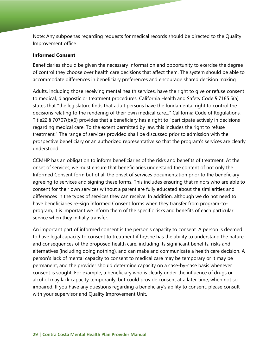Note: Any subpoenas regarding requests for medical records should be directed to the Quality Improvement office.

#### **Informed Consent**

Beneficiaries should be given the necessary information and opportunity to exercise the degree of control they choose over health care decisions that affect them. The system should be able to accommodate differences in beneficiary preferences and encourage shared decision making.

Adults, including those receiving mental health services, have the right to give or refuse consent to medical, diagnostic or treatment procedures. California Health and Safety Code § 7185.5(a) states that "the legislature finds that adult persons have the fundamental right to control the decisions relating to the rendering of their own medical care..." California Code of Regulations, Title22 § 70707(b)(6) provides that a beneficiary has a right to "participate actively in decisions regarding medical care. To the extent permitted by law, this includes the right to refuse treatment." The range of services provided shall be discussed prior to admission with the prospective beneficiary or an authorized representative so that the program's services are clearly understood.

CCMHP has an obligation to inform beneficiaries of the risks and benefits of treatment. At the onset of services, we must ensure that beneficiaries understand the content of not only the Informed Consent form but of all the onset of services documentation prior to the beneficiary agreeing to services and signing these forms. This includes ensuring that minors who are able to consent for their own services without a parent are fully educated about the similarities and differences in the types of services they can receive. In addition, although we do not need to have beneficiaries re-sign Informed Consent forms when they transfer from program-toprogram, it is important we inform them of the specific risks and benefits of each particular service when they initially transfer.

An important part of informed consent is the person's capacity to consent. A person is deemed to have legal capacity to consent to treatment if he/she has the ability to understand the nature and consequences of the proposed health care, including its significant benefits, risks and alternatives (including doing nothing), and can make and communicate a health care decision. A person's lack of mental capacity to consent to medical care may be temporary or it may be permanent, and the provider should determine capacity on a case-by-case basis whenever consent is sought. For example, a beneficiary who is clearly under the influence of drugs or alcohol may lack capacity temporarily, but could provide consent at a later time, when not so impaired. If you have any questions regarding a beneficiary's ability to consent, please consult with your supervisor and Quality Improvement Unit.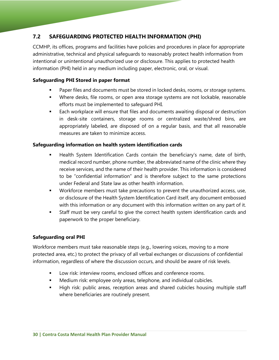# **7.2 SAFEGUARDING PROTECTED HEALTH INFORMATION (PHI)**

CCMHP, its offices, programs and facilities have policies and procedures in place for appropriate administrative, technical and physical safeguards to reasonably protect health information from intentional or unintentional unauthorized use or disclosure. This applies to protected health information (PHI) held in any medium including paper, electronic, oral, or visual.

#### **Safeguarding PHI Stored in paper format**

- **Paper files and documents must be stored in locked desks, rooms, or storage systems.**
- Where desks, file rooms, or open area storage systems are not lockable, reasonable efforts must be implemented to safeguard PHI.
- Each workplace will ensure that files and documents awaiting disposal or destruction in desk-site containers, storage rooms or centralized waste/shred bins, are appropriately labeled, are disposed of on a regular basis, and that all reasonable measures are taken to minimize access.

#### **Safeguarding information on health system identification cards**

- **Health System Identification Cards contain the beneficiary's name, date of birth,** medical record number, phone number, the abbreviated name of the clinic where they receive services, and the name of their health provider. This information is considered to be "confidential information" and is therefore subject to the same protections under Federal and State law as other health information.
- Workforce members must take precautions to prevent the unauthorized access, use, or disclosure of the Health System Identification Card itself, any document embossed with this information or any document with this information written on any part of it.
- Staff must be very careful to give the correct health system identification cards and paperwork to the proper beneficiary.

#### **Safeguarding oral PHI**

Workforce members must take reasonable steps (e.g., lowering voices, moving to a more protected area, etc.) to protect the privacy of all verbal exchanges or discussions of confidential information, regardless of where the discussion occurs, and should be aware of risk levels.

- **Low risk: interview rooms, enclosed offices and conference rooms.**
- **Medium risk: employee only areas, telephone, and individual cubicles.**
- High risk: public areas, reception areas and shared cubicles housing multiple staff where beneficiaries are routinely present.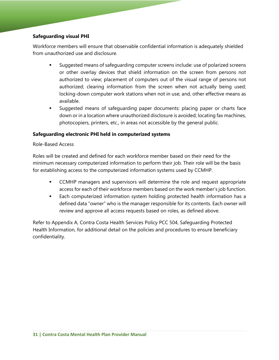## **Safeguarding visual PHI**

Workforce members will ensure that observable confidential information is adequately shielded from unauthorized use and disclosure.

- Suggested means of safeguarding computer screens include: use of polarized screens or other overlay devices that shield information on the screen from persons not authorized to view; placement of computers out of the visual range of persons not authorized; clearing information from the screen when not actually being used; locking-down computer work stations when not in use; and, other effective means as available.
- Suggested means of safeguarding paper documents: placing paper or charts face down or in a location where unauthorized disclosure is avoided; locating fax machines, photocopiers, printers, etc., in areas not accessible by the general public.

#### **Safeguarding electronic PHI held in computerized systems**

#### Role-Based Access

Roles will be created and defined for each workforce member based on their need for the minimum necessary computerized information to perform their job. Their role will be the basis for establishing access to the computerized information systems used by CCMHP.

- **CCMHP** managers and supervisors will determine the role and request appropriate access for each of their workforce members based on the work member's job function.
- Each computerized information system holding protected health information has a defined data "owner" who is the manager responsible for its contents. Each owner will review and approve all access requests based on roles, as defined above.

Refer to Appendix A, Contra Costa Health Services Policy PCC 504, Safeguarding Protected Health Information, for additional detail on the policies and procedures to ensure beneficiary confidentiality.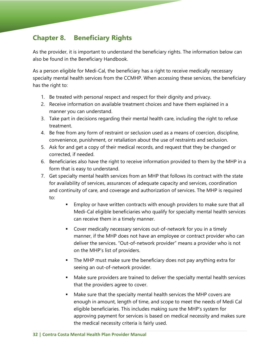# **Chapter 8. Beneficiary Rights**

As the provider, it is important to understand the beneficiary rights. The information below can also be found in the Beneficiary Handbook.

As a person eligible for Medi-Cal, the beneficiary has a right to receive medically necessary specialty mental health services from the CCMHP. When accessing these services, the beneficiary has the right to:

- 1. Be treated with personal respect and respect for their dignity and privacy.
- 2. Receive information on available treatment choices and have them explained in a manner you can understand.
- 3. Take part in decisions regarding their mental health care, including the right to refuse treatment.
- 4. Be free from any form of restraint or seclusion used as a means of coercion, discipline, convenience, punishment, or retaliation about the use of restraints and seclusion.
- 5. Ask for and get a copy of their medical records, and request that they be changed or corrected, if needed.
- 6. Beneficiaries also have the right to receive information provided to them by the MHP in a form that is easy to understand.
- 7. Get specialty mental health services from an MHP that follows its contract with the state for availability of services, assurances of adequate capacity and services, coordination and continuity of care, and coverage and authorization of services. The MHP is required to:
	- **Employ or have written contracts with enough providers to make sure that all** Medi-Cal eligible beneficiaries who qualify for specialty mental health services can receive them in a timely manner.
	- Cover medically necessary services out-of-network for you in a timely manner, if the MHP does not have an employee or contract provider who can deliver the services. "Out-of-network provider" means a provider who is not on the MHP's list of providers.
	- The MHP must make sure the beneficiary does not pay anything extra for seeing an out-of-network provider.
	- Make sure providers are trained to deliver the specialty mental health services that the providers agree to cover.
	- Make sure that the specialty mental health services the MHP covers are enough in amount, length of time, and scope to meet the needs of Medi Cal eligible beneficiaries. This includes making sure the MHP's system for approving payment for services is based on medical necessity and makes sure the medical necessity criteria is fairly used.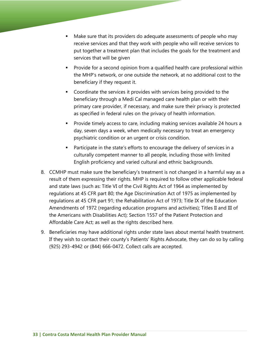- Make sure that its providers do adequate assessments of people who may receive services and that they work with people who will receive services to put together a treatment plan that includes the goals for the treatment and services that will be given
- Provide for a second opinion from a qualified health care professional within the MHP's network, or one outside the network, at no additional cost to the beneficiary if they request it.
- Coordinate the services it provides with services being provided to the beneficiary through a Medi Cal managed care health plan or with their primary care provider, if necessary, and make sure their privacy is protected as specified in federal rules on the privacy of health information.
- Provide timely access to care, including making services available 24 hours a day, seven days a week, when medically necessary to treat an emergency psychiatric condition or an urgent or crisis condition.
- **Participate in the state's efforts to encourage the delivery of services in a** culturally competent manner to all people, including those with limited English proficiency and varied cultural and ethnic backgrounds.
- 8. CCMHP must make sure the beneficiary's treatment is not changed in a harmful way as a result of them expressing their rights. MHP is required to follow other applicable federal and state laws (such as: Title VI of the Civil Rights Act of 1964 as implemented by regulations at 45 CFR part 80; the Age Discrimination Act of 1975 as implemented by regulations at 45 CFR part 91; the Rehabilitation Act of 1973; Title IX of the Education Amendments of 1972 (regarding education programs and activities); Titles II and III of the Americans with Disabilities Act); Section 1557 of the Patient Protection and Affordable Care Act; as well as the rights described here.
- 9. Beneficiaries may have additional rights under state laws about mental health treatment. If they wish to contact their county's Patients' Rights Advocate, they can do so by calling (925) 293-4942 or (844) 666-0472. Collect calls are accepted.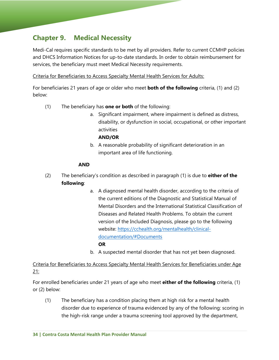# **Chapter 9. Medical Necessity**

Medi-Cal requires specific standards to be met by all providers. Refer to current CCMHP policies and DHCS Information Notices for up-to-date standards. In order to obtain reimbursement for services, the beneficiary must meet Medical Necessity requirements.

Criteria for Beneficiaries to Access Specialty Mental Health Services for Adults:

For beneficiaries 21 years of age or older who meet **both of the following** criteria, (1) and (2) below:

- (1) The beneficiary has **one or both** of the following:
	- a. Significant impairment, where impairment is defined as distress, disability, or dysfunction in social, occupational, or other important activities

#### **AND/OR**

b. A reasonable probability of significant deterioration in an important area of life functioning.

## **AND**

- (2) The beneficiary's condition as described in paragraph (1) is due to **either of the following**:
	- a. A diagnosed mental health disorder, according to the criteria of the current editions of the Diagnostic and Statistical Manual of Mental Disorders and the International Statistical Classification of Diseases and Related Health Problems. To obtain the current version of the Included Diagnosis, please go to the following website: https://cchealth.org/mentalhealth/clinicaldocumentation/#Documents

## **OR**

b. A suspected mental disorder that has not yet been diagnosed.

# Criteria for Beneficiaries to Access Specialty Mental Health Services for Beneficiaries under Age 21:

For enrolled beneficiaries under 21 years of age who meet **either of the following** criteria, (1) or (2) below:

(1) The beneficiary has a condition placing them at high risk for a mental health disorder due to experience of trauma evidenced by any of the following: scoring in the high-risk range under a trauma screening tool approved by the department,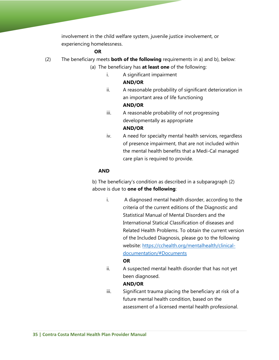involvement in the child welfare system, juvenile justice involvement, or experiencing homelessness.

#### **OR**

- (2) The beneficiary meets **both of the following** requirements in a) and b), below:
	- (a) The beneficiary has **at least one** of the following:
		- i. A significant impairment

#### **AND/OR**

ii. A reasonable probability of significant deterioration in an important area of life functioning

#### **AND/OR**

- iii. A reasonable probability of not progressing developmentally as appropriate **AND/OR**
- iv. A need for specialty mental health services, regardless of presence impairment, that are not included within the mental health benefits that a Medi-Cal managed care plan is required to provide.

#### **AND**

b) The beneficiary's condition as described in a subparagraph (2) above is due to **one of the following**:

i. A diagnosed mental health disorder, according to the criteria of the current editions of the Diagnostic and Statistical Manual of Mental Disorders and the International Statical Classification of diseases and Related Health Problems. To obtain the current version of the Included Diagnosis, please go to the following website: https://cchealth.org/mentalhealth/clinicaldocumentation/#Documents

#### **OR**

ii. A suspected mental health disorder that has not yet been diagnosed.

#### **AND/OR**

iii. Significant trauma placing the beneficiary at risk of a future mental health condition, based on the assessment of a licensed mental health professional.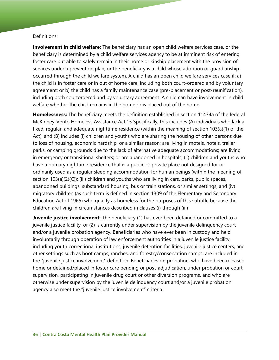#### Definitions:

**Involvement in child welfare:** The beneficiary has an open child welfare services case, or the beneficiary is determined by a child welfare services agency to be at imminent risk of entering foster care but able to safely remain in their home or kinship placement with the provision of services under a prevention plan, or the beneficiary is a child whose adoption or guardianship occurred through the child welfare system. A child has an open child welfare services case if: a) the child is in foster care or in out of home care, including both court-ordered and by voluntary agreement; or b) the child has a family maintenance case (pre-placement or post-reunification), including both courtordered and by voluntary agreement. A child can have involvement in child welfare whether the child remains in the home or is placed out of the home.

**Homelessness:** The beneficiary meets the definition established in section 11434a of the federal McKinney-Vento Homeless Assistance Act.15 Specifically, this includes (A) individuals who lack a fixed, regular, and adequate nighttime residence (within the meaning of section 103(a)(1) of the Act); and (B) includes (i) children and youths who are sharing the housing of other persons due to loss of housing, economic hardship, or a similar reason; are living in motels, hotels, trailer parks, or camping grounds due to the lack of alternative adequate accommodations; are living in emergency or transitional shelters; or are abandoned in hospitals; (ii) children and youths who have a primary nighttime residence that is a public or private place not designed for or ordinarily used as a regular sleeping accommodation for human beings (within the meaning of section 103(a)(2)(C)); (iii) children and youths who are living in cars, parks, public spaces, abandoned buildings, substandard housing, bus or train stations, or similar settings; and (iv) migratory children (as such term is defined in section 1309 of the Elementary and Secondary Education Act of 1965) who qualify as homeless for the purposes of this subtitle because the children are living in circumstances described in clauses (i) through (iii)

**Juvenile justice involvement:** The beneficiary (1) has ever been detained or committed to a juvenile justice facility, or (2) is currently under supervision by the juvenile delinquency court and/or a juvenile probation agency. Beneficiaries who have ever been in custody and held involuntarily through operation of law enforcement authorities in a juvenile justice facility, including youth correctional institutions, juvenile detention facilities, juvenile justice centers, and other settings such as boot camps, ranches, and forestry/conservation camps, are included in the "juvenile justice involvement" definition. Beneficiaries on probation, who have been released home or detained/placed in foster care pending or post-adjudication, under probation or court supervision, participating in juvenile drug court or other diversion programs, and who are otherwise under supervision by the juvenile delinquency court and/or a juvenile probation agency also meet the "juvenile justice involvement" criteria.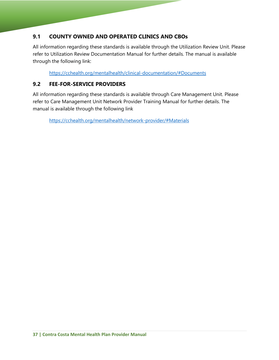# **9.1 COUNTY OWNED AND OPERATED CLINICS AND CBOs**

All information regarding these standards is available through the Utilization Review Unit. Please refer to Utilization Review Documentation Manual for further details. The manual is available through the following link:

https://cchealth.org/mentalhealth/clinical-documentation/#Documents

# **9.2 FEE-FOR-SERVICE PROVIDERS**

All information regarding these standards is available through Care Management Unit. Please refer to Care Management Unit Network Provider Training Manual for further details. The manual is available through the following link

https://cchealth.org/mentalhealth/network-provider/#Materials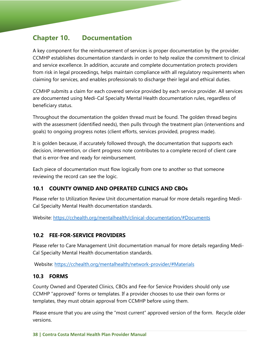# **Chapter 10. Documentation**

A key component for the reimbursement of services is proper documentation by the provider. CCMHP establishes documentation standards in order to help realize the commitment to clinical and service excellence. In addition, accurate and complete documentation protects providers from risk in legal proceedings, helps maintain compliance with all regulatory requirements when claiming for services, and enables professionals to discharge their legal and ethical duties.

CCMHP submits a claim for each covered service provided by each service provider. All services are documented using Medi-Cal Specialty Mental Health documentation rules, regardless of beneficiary status.

Throughout the documentation the golden thread must be found. The golden thread begins with the assessment (identified needs), then pulls through the treatment plan (interventions and goals) to ongoing progress notes (client efforts, services provided, progress made).

It is golden because, if accurately followed through, the documentation that supports each decision, intervention, or client progress note contributes to a complete record of client care that is error-free and ready for reimbursement.

Each piece of documentation must flow logically from one to another so that someone reviewing the record can see the logic.

# **10.1 COUNTY OWNED AND OPERATED CLINICS AND CBOs**

Please refer to Utilization Review Unit documentation manual for more details regarding Medi-Cal Specialty Mental Health documentation standards.

Website: https://cchealth.org/mentalhealth/clinical-documentation/#Documents

# **10.2 FEE-FOR-SERVICE PROVIDERS**

Please refer to Care Management Unit documentation manual for more details regarding Medi-Cal Specialty Mental Health documentation standards.

Website: https://cchealth.org/mentalhealth/network-provider/#Materials

## **10.3 FORMS**

County Owned and Operated Clinics, CBOs and Fee-for Service Providers should only use CCMHP "approved" forms or templates. If a provider chooses to use their own forms or templates, they must obtain approval from CCMHP before using them.

Please ensure that you are using the "most current" approved version of the form. Recycle older versions.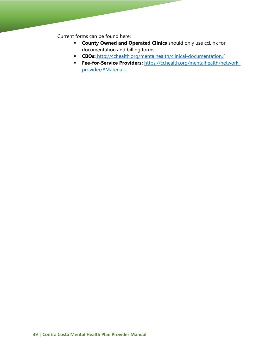Current forms can be found here:

- **County Owned and Operated Clinics** should only use ccLink for documentation and billing forms
- **CBOs:** http://cchealth.org/mentalhealth/clinical-documentation/
- **Fee-for-Service Providers:** https://cchealth.org/mentalhealth/networkprovider/#Materials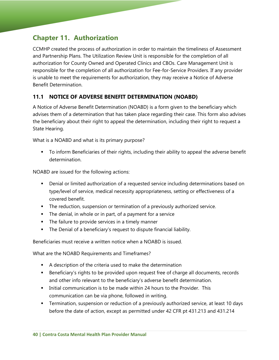# **Chapter 11. Authorization**

CCMHP created the process of authorization in order to maintain the timeliness of Assessment and Partnership Plans. The Utilization Review Unit is responsible for the completion of all authorization for County Owned and Operated Clinics and CBOs. Care Management Unit is responsible for the completion of all authorization for Fee-for-Service Providers. If any provider is unable to meet the requirements for authorization, they may receive a Notice of Adverse Benefit Determination.

# **11.1 NOTICE OF ADVERSE BENEFIT DETERMINATION (NOABD)**

A Notice of Adverse Benefit Determination (NOABD) is a form given to the beneficiary which advises them of a determination that has taken place regarding their case. This form also advises the beneficiary about their right to appeal the determination, including their right to request a State Hearing.

What is a NOABD and what is its primary purpose?

 To inform Beneficiaries of their rights, including their ability to appeal the adverse benefit determination.

NOABD are issued for the following actions:

- **Denial or limited authorization of a requested service including determinations based on** type/level of service, medical necessity appropriateness, setting or effectiveness of a covered benefit.
- **The reduction, suspension or termination of a previously authorized service.**
- **The denial, in whole or in part, of a payment for a service**
- **The failure to provide services in a timely manner**
- The Denial of a beneficiary's request to dispute financial liability.

Beneficiaries must receive a written notice when a NOABD is issued.

What are the NOABD Requirements and Timeframes?

- A description of the criteria used to make the determination
- **Beneficiary's rights to be provided upon request free of charge all documents, records** and other info relevant to the beneficiary's adverse benefit determination.
- Initial communication is to be made within 24 hours to the Provider. This communication can be via phone, followed in writing.
- Termination, suspension or reduction of a previously authorized service, at least 10 days before the date of action, except as permitted under 42 CFR pt 431.213 and 431.214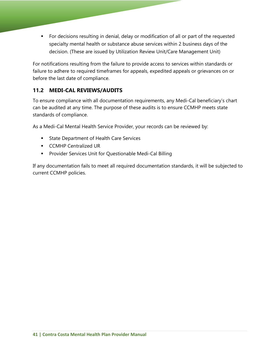For decisions resulting in denial, delay or modification of all or part of the requested specialty mental health or substance abuse services within 2 business days of the decision. (These are issued by Utilization Review Unit/Care Management Unit)

For notifications resulting from the failure to provide access to services within standards or failure to adhere to required timeframes for appeals, expedited appeals or grievances on or before the last date of compliance.

# **11.2 MEDI-CAL REVIEWS/AUDITS**

To ensure compliance with all documentation requirements, any Medi-Cal beneficiary's chart can be audited at any time. The purpose of these audits is to ensure CCMHP meets state standards of compliance.

As a Medi-Cal Mental Health Service Provider, your records can be reviewed by:

- **State Department of Health Care Services**
- **CCMHP Centralized UR**
- **Provider Services Unit for Questionable Medi-Cal Billing**

If any documentation fails to meet all required documentation standards, it will be subjected to current CCMHP policies.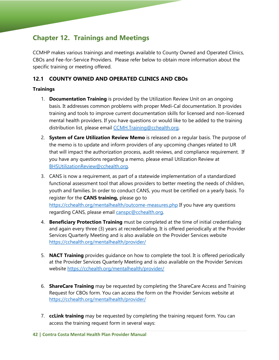# **Chapter 12. Trainings and Meetings**

CCMHP makes various trainings and meetings available to County Owned and Operated Clinics, CBOs and Fee-for-Service Providers. Please refer below to obtain more information about the specific training or meeting offered.

# **12.1 COUNTY OWNED AND OPERATED CLINICS AND CBOs**

#### **Trainings**

- 1. **Documentation Training** is provided by the Utilization Review Unit on an ongoing basis. It addresses common problems with proper Medi-Cal documentation. It provides training and tools to improve current documentation skills for licensed and non-licensed mental health providers. If you have questions or would like to be added to the training distribution list, please email CCMH.Training@cchealth.org.
- 2. **System of Care Utilization Review Memo** is released on a regular basis. The purpose of the memo is to update and inform providers of any upcoming changes related to UR that will impact the authorization process, audit reviews, and compliance requirement. If you have any questions regarding a memo, please email Utilization Review at BHSUtilizationReview@cchealth.org.
- 3. CANS is now a requirement, as part of a statewide implementation of a standardized functional assessment tool that allows providers to better meeting the needs of children, youth and families. In order to conduct CANS, you must be certified on a yearly basis. To register for the **CANS training,** please go to https://cchealth.org/mentalhealth/outcome-measures.php If you have any questions regarding CANS, please email canspc@cchealth.org.
- 4. **Beneficiary Protection Training** must be completed at the time of initial credentialing and again every three (3) years at recredentialing. It is offered periodically at the Provider Services Quarterly Meeting and is also available on the Provider Services website https://cchealth.org/mentalhealth/provider/
- 5. **NACT Training** provides guidance on how to complete the tool. It is offered periodically at the Provider Services Quarterly Meeting and is also available on the Provider Services website https://cchealth.org/mentalhealth/provider/
- 6. **ShareCare Training** may be requested by completing the ShareCare Access and Training Request for CBOs form. You can access the form on the Provider Services website at https://cchealth.org/mentalhealth/provider/
- 7. **ccLink training** may be requested by completing the training request form. You can access the training request form in several ways: